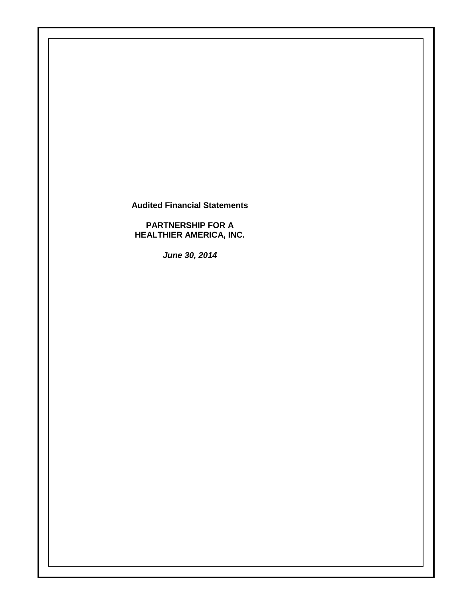**Audited Financial Statements**

**PARTNERSHIP FOR A HEALTHIER AMERICA, INC.**

*June 30, 2014*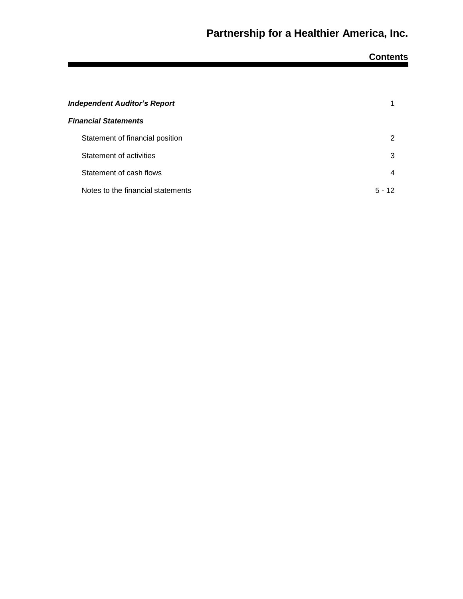# **Contents**

| <b>Independent Auditor's Report</b> |          |
|-------------------------------------|----------|
| <b>Financial Statements</b>         |          |
| Statement of financial position     | 2        |
| Statement of activities             | 3        |
| Statement of cash flows             | 4        |
| Notes to the financial statements   | $5 - 12$ |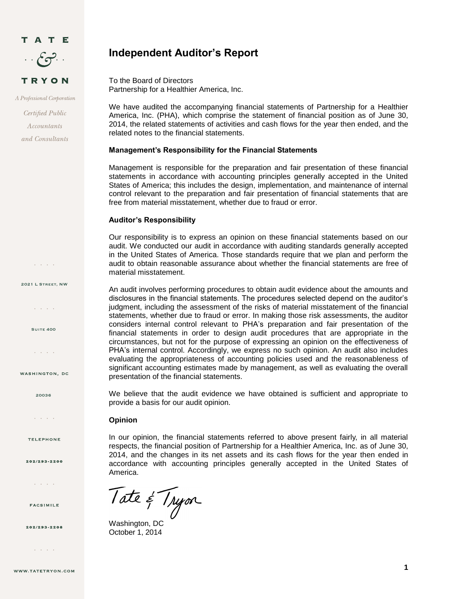

A Professional Corporation

Certified Public Accountants and Consultants

 $\mathcal{L} = \mathcal{L} \times \mathcal{L} \times \mathcal{L}$ 

2021 L Street, NW

and a state

**SUITE 400** 

and a state

WASHINGTON, DC

20036

 $\mathbf{r} = \mathbf{r} - \mathbf{r}$  .  $\mathbf{r}$ 

**TELEPHONE** 

202/293-2200

 $\mathcal{L}^{\mathcal{A}}$  ,  $\mathcal{L}^{\mathcal{A}}$  ,  $\mathcal{L}^{\mathcal{A}}$  ,  $\mathcal{L}^{\mathcal{A}}$ 

**FACSIMILE** 

202/293-2208

and a state

# **Independent Auditor's Report**

To the Board of Directors Partnership for a Healthier America, Inc.

We have audited the accompanying financial statements of Partnership for a Healthier America, Inc. (PHA), which comprise the statement of financial position as of June 30, 2014, the related statements of activities and cash flows for the year then ended, and the related notes to the financial statements.

#### **Management's Responsibility for the Financial Statements**

Management is responsible for the preparation and fair presentation of these financial statements in accordance with accounting principles generally accepted in the United States of America; this includes the design, implementation, and maintenance of internal control relevant to the preparation and fair presentation of financial statements that are free from material misstatement, whether due to fraud or error.

#### **Auditor's Responsibility**

Our responsibility is to express an opinion on these financial statements based on our audit. We conducted our audit in accordance with auditing standards generally accepted in the United States of America. Those standards require that we plan and perform the audit to obtain reasonable assurance about whether the financial statements are free of material misstatement.

An audit involves performing procedures to obtain audit evidence about the amounts and disclosures in the financial statements. The procedures selected depend on the auditor's judgment, including the assessment of the risks of material misstatement of the financial statements, whether due to fraud or error. In making those risk assessments, the auditor considers internal control relevant to PHA's preparation and fair presentation of the financial statements in order to design audit procedures that are appropriate in the circumstances, but not for the purpose of expressing an opinion on the effectiveness of PHA's internal control. Accordingly, we express no such opinion. An audit also includes evaluating the appropriateness of accounting policies used and the reasonableness of significant accounting estimates made by management, as well as evaluating the overall presentation of the financial statements.

We believe that the audit evidence we have obtained is sufficient and appropriate to provide a basis for our audit opinion.

#### **Opinion**

In our opinion, the financial statements referred to above present fairly, in all material respects, the financial position of Partnership for a Healthier America, Inc. as of June 30, 2014, and the changes in its net assets and its cash flows for the year then ended in accordance with accounting principles generally accepted in the United States of America.

Tate & Tryon

Washington, DC October 1, 2014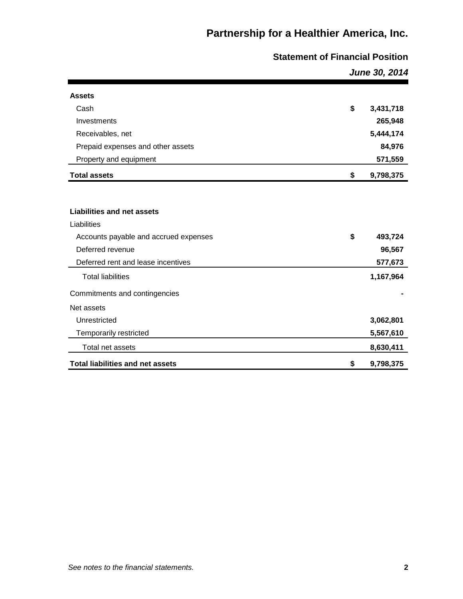## **Statement of Financial Position**

*June 30, 2014*

| <b>Assets</b>                           |                 |
|-----------------------------------------|-----------------|
| Cash                                    | \$<br>3,431,718 |
| Investments                             | 265,948         |
| Receivables, net                        | 5,444,174       |
| Prepaid expenses and other assets       | 84,976          |
| Property and equipment                  | 571,559         |
| <b>Total assets</b>                     | \$<br>9,798,375 |
|                                         |                 |
| <b>Liabilities and net assets</b>       |                 |
| Liabilities                             |                 |
| Accounts payable and accrued expenses   | \$<br>493,724   |
| Deferred revenue                        | 96,567          |
| Deferred rent and lease incentives      | 577,673         |
| <b>Total liabilities</b>                | 1,167,964       |
| Commitments and contingencies           |                 |
| Net assets                              |                 |
| Unrestricted                            | 3,062,801       |
| <b>Temporarily restricted</b>           | 5,567,610       |
| Total net assets                        | 8,630,411       |
| <b>Total liabilities and net assets</b> | \$<br>9,798,375 |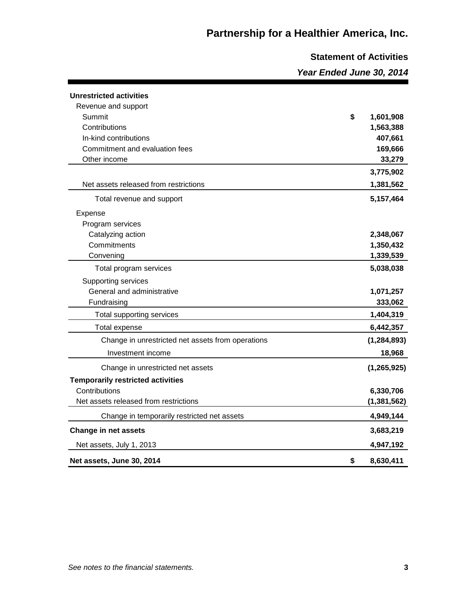# **Statement of Activities** *Year Ended June 30, 2014*

| <b>Unrestricted activities</b>                    |                 |
|---------------------------------------------------|-----------------|
| Revenue and support                               |                 |
| Summit                                            | \$<br>1,601,908 |
| Contributions                                     | 1,563,388       |
| In-kind contributions                             | 407,661         |
| Commitment and evaluation fees                    | 169,666         |
| Other income                                      | 33,279          |
|                                                   | 3,775,902       |
| Net assets released from restrictions             | 1,381,562       |
| Total revenue and support                         | 5,157,464       |
| Expense                                           |                 |
| Program services                                  |                 |
| Catalyzing action                                 | 2,348,067       |
| Commitments                                       | 1,350,432       |
| Convening                                         | 1,339,539       |
| Total program services                            | 5,038,038       |
| Supporting services                               |                 |
| General and administrative                        | 1,071,257       |
| Fundraising                                       | 333,062         |
| Total supporting services                         | 1,404,319       |
| Total expense                                     | 6,442,357       |
| Change in unrestricted net assets from operations | (1, 284, 893)   |
| Investment income                                 | 18,968          |
| Change in unrestricted net assets                 | (1, 265, 925)   |
| <b>Temporarily restricted activities</b>          |                 |
| Contributions                                     | 6,330,706       |
| Net assets released from restrictions             | (1, 381, 562)   |
| Change in temporarily restricted net assets       | 4,949,144       |
| <b>Change in net assets</b>                       | 3,683,219       |
| Net assets, July 1, 2013                          | 4,947,192       |
| Net assets, June 30, 2014                         | \$<br>8,630,411 |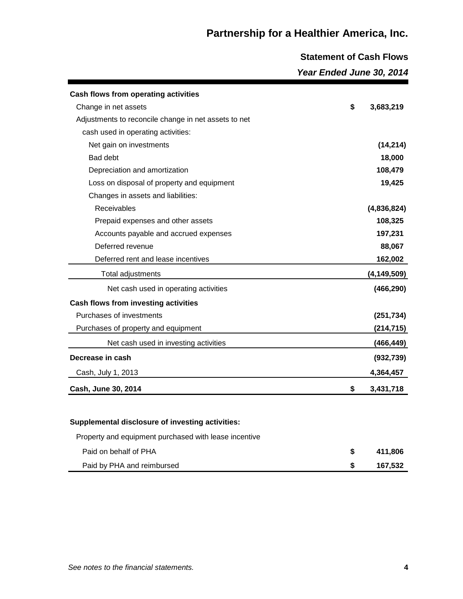# **Statement of Cash Flows** *Year Ended June 30, 2014*

| Cash flows from operating activities                  |    |               |
|-------------------------------------------------------|----|---------------|
| Change in net assets                                  | \$ | 3,683,219     |
| Adjustments to reconcile change in net assets to net  |    |               |
| cash used in operating activities:                    |    |               |
| Net gain on investments                               |    | (14, 214)     |
| Bad debt                                              |    | 18,000        |
| Depreciation and amortization                         |    | 108,479       |
| Loss on disposal of property and equipment            |    | 19,425        |
| Changes in assets and liabilities:                    |    |               |
| Receivables                                           |    | (4,836,824)   |
| Prepaid expenses and other assets                     |    | 108,325       |
| Accounts payable and accrued expenses                 |    | 197,231       |
| Deferred revenue                                      |    | 88,067        |
| Deferred rent and lease incentives                    |    | 162,002       |
| Total adjustments                                     |    | (4, 149, 509) |
| Net cash used in operating activities                 |    | (466, 290)    |
| Cash flows from investing activities                  |    |               |
| Purchases of investments                              |    | (251, 734)    |
| Purchases of property and equipment                   |    | (214, 715)    |
| Net cash used in investing activities                 |    | (466, 449)    |
| Decrease in cash                                      |    | (932, 739)    |
| Cash, July 1, 2013                                    |    | 4,364,457     |
| Cash, June 30, 2014                                   | \$ | 3,431,718     |
|                                                       |    |               |
| Supplemental disclosure of investing activities:      |    |               |
| Property and equipment purchased with lease incentive |    |               |
| Paid on behalf of PHA                                 | \$ | 411,806       |
| Paid by PHA and reimbursed                            | S  | 167,532       |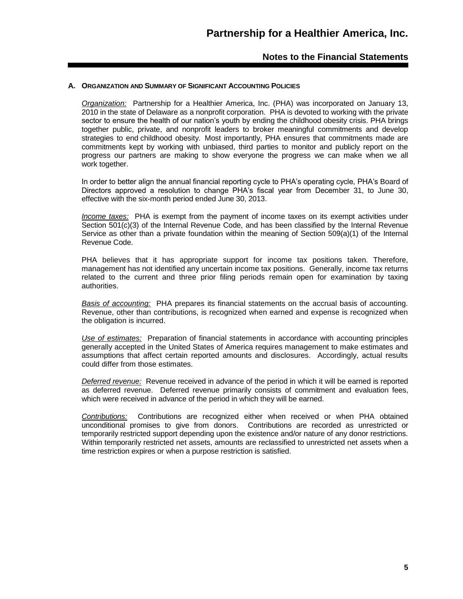#### **A. ORGANIZATION AND SUMMARY OF SIGNIFICANT ACCOUNTING POLICIES**

*Organization:* Partnership for a Healthier America, Inc. (PHA) was incorporated on January 13, 2010 in the state of Delaware as a nonprofit corporation. PHA is devoted to working with the private sector to ensure the health of our nation's youth by ending the childhood obesity crisis. PHA brings together public, private, and nonprofit leaders to broker meaningful commitments and develop strategies to end childhood obesity. Most importantly, PHA ensures that commitments made are commitments kept by working with unbiased, third parties to monitor and publicly report on the progress our partners are making to show everyone the progress we can make when we all work together.

In order to better align the annual financial reporting cycle to PHA's operating cycle, PHA's Board of Directors approved a resolution to change PHA's fiscal year from December 31, to June 30, effective with the six-month period ended June 30, 2013.

*Income taxes:* PHA is exempt from the payment of income taxes on its exempt activities under Section 501(c)(3) of the Internal Revenue Code, and has been classified by the Internal Revenue Service as other than a private foundation within the meaning of Section 509(a)(1) of the Internal Revenue Code.

PHA believes that it has appropriate support for income tax positions taken. Therefore, management has not identified any uncertain income tax positions. Generally, income tax returns related to the current and three prior filing periods remain open for examination by taxing authorities.

*Basis of accounting:* PHA prepares its financial statements on the accrual basis of accounting. Revenue, other than contributions, is recognized when earned and expense is recognized when the obligation is incurred.

*Use of estimates:* Preparation of financial statements in accordance with accounting principles generally accepted in the United States of America requires management to make estimates and assumptions that affect certain reported amounts and disclosures. Accordingly, actual results could differ from those estimates.

*Deferred revenue:* Revenue received in advance of the period in which it will be earned is reported as deferred revenue. Deferred revenue primarily consists of commitment and evaluation fees, which were received in advance of the period in which they will be earned.

*Contributions:* Contributions are recognized either when received or when PHA obtained unconditional promises to give from donors. Contributions are recorded as unrestricted or temporarily restricted support depending upon the existence and/or nature of any donor restrictions. Within temporarily restricted net assets, amounts are reclassified to unrestricted net assets when a time restriction expires or when a purpose restriction is satisfied.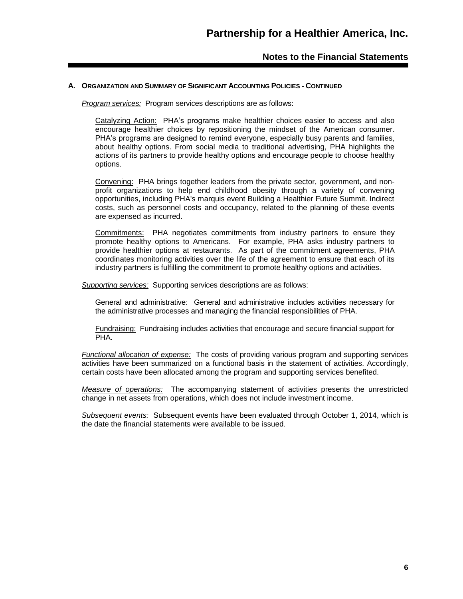#### **A. ORGANIZATION AND SUMMARY OF SIGNIFICANT ACCOUNTING POLICIES - CONTINUED**

*Program services:* Program services descriptions are as follows:

Catalyzing Action: PHA's programs make healthier choices easier to access and also encourage healthier choices by repositioning the mindset of the American consumer. PHA's programs are designed to remind everyone, especially busy parents and families, about healthy options. From social media to traditional advertising, PHA highlights the actions of its partners to provide healthy options and encourage people to choose healthy options.

Convening: PHA brings together leaders from the private sector, government, and nonprofit organizations to help end childhood obesity through a variety of convening opportunities, including PHA's marquis event Building a Healthier Future Summit. Indirect costs, such as personnel costs and occupancy, related to the planning of these events are expensed as incurred.

Commitments: PHA negotiates commitments from industry partners to ensure they promote healthy options to Americans. For example, PHA asks industry partners to provide healthier options at restaurants. As part of the commitment agreements, PHA coordinates monitoring activities over the life of the agreement to ensure that each of its industry partners is fulfilling the commitment to promote healthy options and activities.

*Supporting services:* Supporting services descriptions are as follows:

General and administrative:General and administrative includes activities necessary for the administrative processes and managing the financial responsibilities of PHA.

Fundraising: Fundraising includes activities that encourage and secure financial support for PHA.

*Functional allocation of expense:* The costs of providing various program and supporting services activities have been summarized on a functional basis in the statement of activities. Accordingly, certain costs have been allocated among the program and supporting services benefited.

*Measure of operations:* The accompanying statement of activities presents the unrestricted change in net assets from operations, which does not include investment income.

*Subsequent events:* Subsequent events have been evaluated through October 1, 2014, which is the date the financial statements were available to be issued.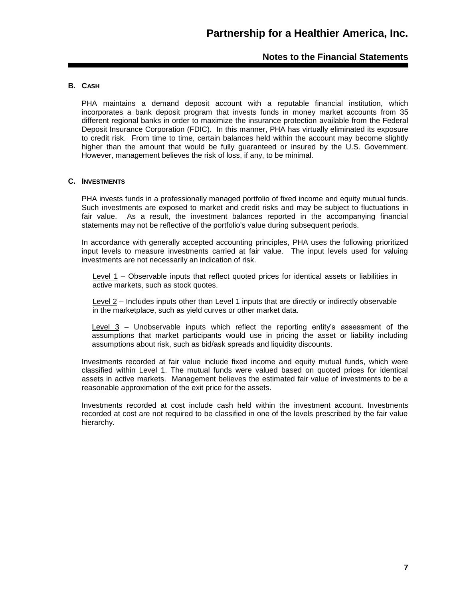#### **B. CASH**

PHA maintains a demand deposit account with a reputable financial institution, which incorporates a bank deposit program that invests funds in money market accounts from 35 different regional banks in order to maximize the insurance protection available from the Federal Deposit Insurance Corporation (FDIC). In this manner, PHA has virtually eliminated its exposure to credit risk. From time to time, certain balances held within the account may become slightly higher than the amount that would be fully guaranteed or insured by the U.S. Government. However, management believes the risk of loss, if any, to be minimal.

#### **C. INVESTMENTS**

PHA invests funds in a professionally managed portfolio of fixed income and equity mutual funds. Such investments are exposed to market and credit risks and may be subject to fluctuations in fair value. As a result, the investment balances reported in the accompanying financial statements may not be reflective of the portfolio's value during subsequent periods.

In accordance with generally accepted accounting principles, PHA uses the following prioritized input levels to measure investments carried at fair value. The input levels used for valuing investments are not necessarily an indication of risk.

Level 1 – Observable inputs that reflect quoted prices for identical assets or liabilities in active markets, such as stock quotes.

Level 2 – Includes inputs other than Level 1 inputs that are directly or indirectly observable in the marketplace, such as yield curves or other market data.

Level 3 – Unobservable inputs which reflect the reporting entity's assessment of the assumptions that market participants would use in pricing the asset or liability including assumptions about risk, such as bid/ask spreads and liquidity discounts.

Investments recorded at fair value include fixed income and equity mutual funds, which were classified within Level 1. The mutual funds were valued based on quoted prices for identical assets in active markets. Management believes the estimated fair value of investments to be a reasonable approximation of the exit price for the assets.

Investments recorded at cost include cash held within the investment account. Investments recorded at cost are not required to be classified in one of the levels prescribed by the fair value hierarchy.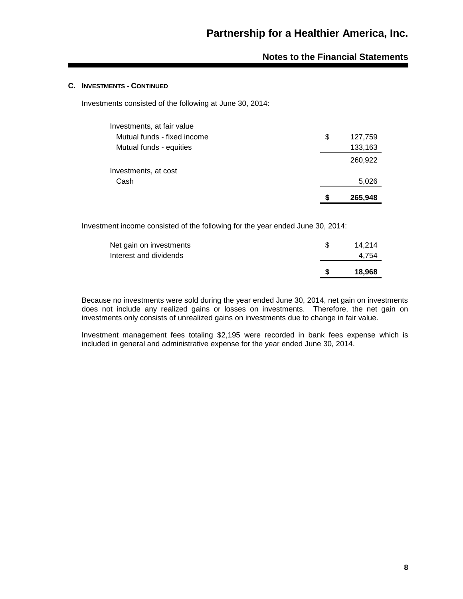#### **C. INVESTMENTS - CONTINUED**

Investments consisted of the following at June 30, 2014:

| Investments, at fair value  |    |         |
|-----------------------------|----|---------|
| Mutual funds - fixed income | \$ | 127,759 |
| Mutual funds - equities     |    | 133,163 |
|                             |    | 260,922 |
| Investments, at cost        |    |         |
| Cash                        |    | 5,026   |
|                             | S  | 265,948 |

Investment income consisted of the following for the year ended June 30, 2014:

|                         | 18.968 |
|-------------------------|--------|
| Interest and dividends  | 4.754  |
| Net gain on investments | 14.214 |

Because no investments were sold during the year ended June 30, 2014, net gain on investments does not include any realized gains or losses on investments. Therefore, the net gain on investments only consists of unrealized gains on investments due to change in fair value.

Investment management fees totaling \$2,195 were recorded in bank fees expense which is included in general and administrative expense for the year ended June 30, 2014.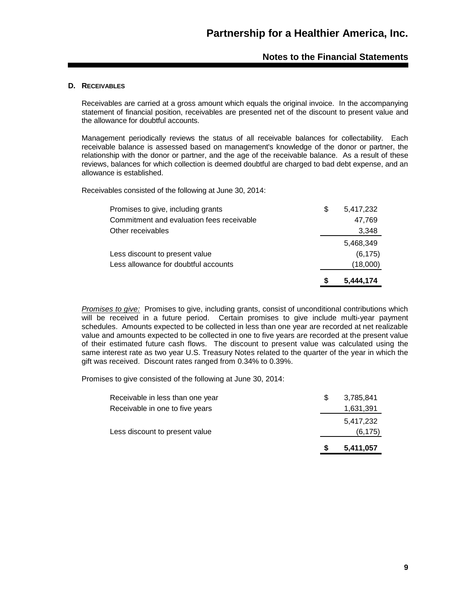#### **D. RECEIVABLES**

Receivables are carried at a gross amount which equals the original invoice. In the accompanying statement of financial position, receivables are presented net of the discount to present value and the allowance for doubtful accounts.

Management periodically reviews the status of all receivable balances for collectability. Each receivable balance is assessed based on management's knowledge of the donor or partner, the relationship with the donor or partner, and the age of the receivable balance. As a result of these reviews, balances for which collection is deemed doubtful are charged to bad debt expense, and an allowance is established.

Receivables consisted of the following at June 30, 2014:

| Promises to give, including grants        | S | 5,417,232 |
|-------------------------------------------|---|-----------|
| Commitment and evaluation fees receivable |   | 47,769    |
| Other receivables                         |   | 3,348     |
|                                           |   | 5,468,349 |
| Less discount to present value            |   | (6, 175)  |
| Less allowance for doubtful accounts      |   | (18,000)  |
|                                           |   | 5,444,174 |

*Promises to give:* Promises to give, including grants, consist of unconditional contributions which will be received in a future period. Certain promises to give include multi-year payment schedules. Amounts expected to be collected in less than one year are recorded at net realizable value and amounts expected to be collected in one to five years are recorded at the present value of their estimated future cash flows. The discount to present value was calculated using the same interest rate as two year U.S. Treasury Notes related to the quarter of the year in which the gift was received. Discount rates ranged from 0.34% to 0.39%.

Promises to give consisted of the following at June 30, 2014:

|                                  |   | 5,411,057            |
|----------------------------------|---|----------------------|
| Less discount to present value   |   | 5,417,232<br>(6,175) |
| Receivable in one to five years  |   | 1,631,391            |
| Receivable in less than one year | S | 3,785,841            |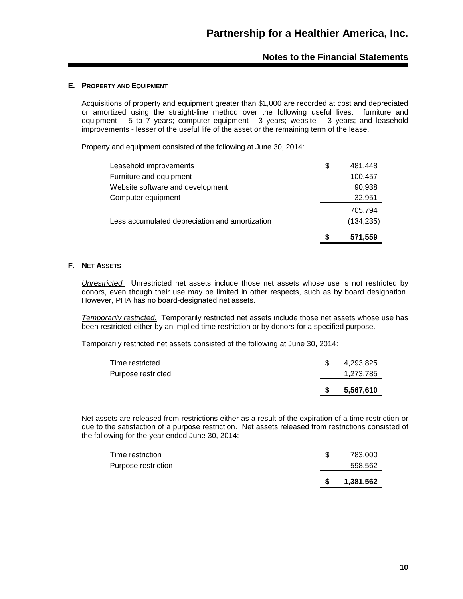#### **E. PROPERTY AND EQUIPMENT**

Acquisitions of property and equipment greater than \$1,000 are recorded at cost and depreciated or amortized using the straight-line method over the following useful lives: furniture and equipment  $-5$  to  $\overline{7}$  years; computer equipment - 3 years; website  $-3$  years; and leasehold improvements - lesser of the useful life of the asset or the remaining term of the lease.

Property and equipment consisted of the following at June 30, 2014:

| Leasehold improvements                         | \$ | 481,448    |
|------------------------------------------------|----|------------|
| Furniture and equipment                        |    | 100,457    |
| Website software and development               |    | 90,938     |
| Computer equipment                             |    | 32,951     |
|                                                |    | 705,794    |
| Less accumulated depreciation and amortization |    | (134, 235) |
|                                                | S  | 571,559    |

#### **F. NET ASSETS**

*Unrestricted:* Unrestricted net assets include those net assets whose use is not restricted by donors, even though their use may be limited in other respects, such as by board designation. However, PHA has no board-designated net assets.

*Temporarily restricted:* Temporarily restricted net assets include those net assets whose use has been restricted either by an implied time restriction or by donors for a specified purpose.

Temporarily restricted net assets consisted of the following at June 30, 2014:

| Time restricted<br>Purpose restricted | 4,293,825<br>1,273,785 |
|---------------------------------------|------------------------|
|                                       | 5.567,610              |

Net assets are released from restrictions either as a result of the expiration of a time restriction or due to the satisfaction of a purpose restriction. Net assets released from restrictions consisted of the following for the year ended June 30, 2014:

|                                         | 1,381,562          |
|-----------------------------------------|--------------------|
| Time restriction<br>Purpose restriction | 783.000<br>598,562 |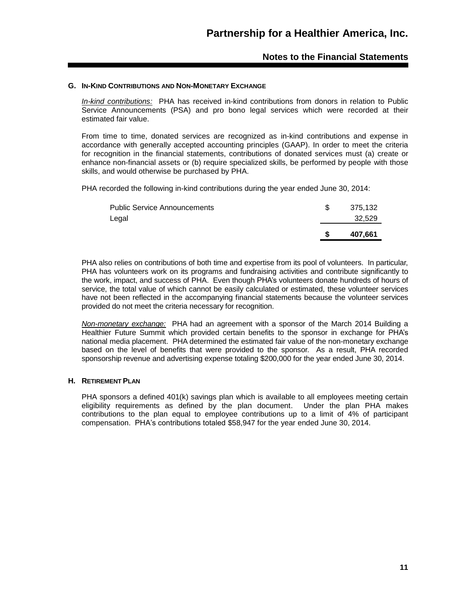#### **G. IN-KIND CONTRIBUTIONS AND NON-MONETARY EXCHANGE**

*In-kind contributions:* PHA has received in-kind contributions from donors in relation to Public Service Announcements (PSA) and pro bono legal services which were recorded at their estimated fair value.

From time to time, donated services are recognized as in-kind contributions and expense in accordance with generally accepted accounting principles (GAAP). In order to meet the criteria for recognition in the financial statements, contributions of donated services must (a) create or enhance non-financial assets or (b) require specialized skills, be performed by people with those skills, and would otherwise be purchased by PHA.

PHA recorded the following in-kind contributions during the year ended June 30, 2014:

| <b>Public Service Announcements</b> | 375,132 |
|-------------------------------------|---------|
| Legal                               | 32,529  |
|                                     | 407.661 |
|                                     |         |

PHA also relies on contributions of both time and expertise from its pool of volunteers. In particular, PHA has volunteers work on its programs and fundraising activities and contribute significantly to the work, impact, and success of PHA. Even though PHA's volunteers donate hundreds of hours of service, the total value of which cannot be easily calculated or estimated, these volunteer services have not been reflected in the accompanying financial statements because the volunteer services provided do not meet the criteria necessary for recognition.

*Non-monetary exchange:* PHA had an agreement with a sponsor of the March 2014 Building a Healthier Future Summit which provided certain benefits to the sponsor in exchange for PHA's national media placement. PHA determined the estimated fair value of the non-monetary exchange based on the level of benefits that were provided to the sponsor. As a result, PHA recorded sponsorship revenue and advertising expense totaling \$200,000 for the year ended June 30, 2014.

#### **H. RETIREMENT PLAN**

PHA sponsors a defined 401(k) savings plan which is available to all employees meeting certain eligibility requirements as defined by the plan document. Under the plan PHA makes contributions to the plan equal to employee contributions up to a limit of 4% of participant compensation. PHA's contributions totaled \$58,947 for the year ended June 30, 2014.